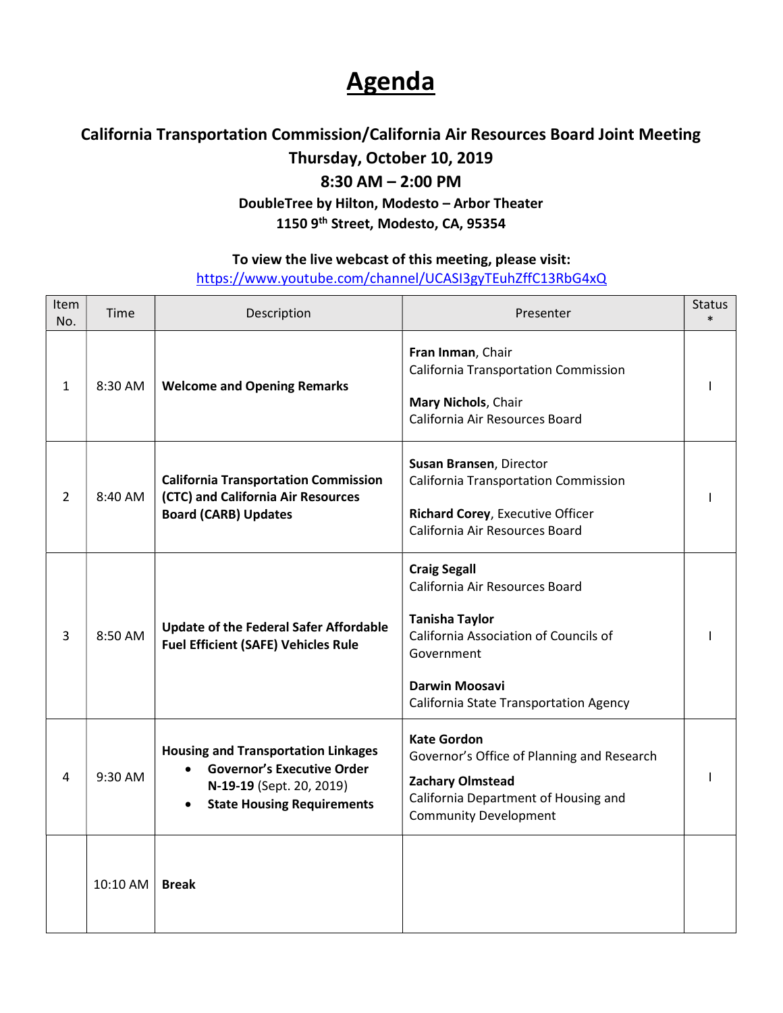## **Agenda**

## California Transportation Commission/California Air Resources Board Joint Meeting

Thursday, October 10, 2019

8:30 AM – 2:00 PM

DoubleTree by Hilton, Modesto – Arbor Theater

1150 9<sup>th</sup> Street, Modesto, CA, 95354

## To view the live webcast of this meeting, please visit:

<https://www.youtube.com/channel/UCASI3gyTEuhZffC13RbG4xQ>

| Item<br>No. | Time       | Description                                                                                                                                                   | Presenter                                                                                                                                                                                                | <b>Status</b><br>$\ast$ |
|-------------|------------|---------------------------------------------------------------------------------------------------------------------------------------------------------------|----------------------------------------------------------------------------------------------------------------------------------------------------------------------------------------------------------|-------------------------|
| 1           | 8:30 AM    | <b>Welcome and Opening Remarks</b>                                                                                                                            | Fran Inman, Chair<br><b>California Transportation Commission</b><br>Mary Nichols, Chair<br>California Air Resources Board                                                                                |                         |
| 2           | 8:40 AM    | <b>California Transportation Commission</b><br>(CTC) and California Air Resources<br><b>Board (CARB) Updates</b>                                              | Susan Bransen, Director<br><b>California Transportation Commission</b><br>Richard Corey, Executive Officer<br>California Air Resources Board                                                             |                         |
| 3           | 8:50 AM    | <b>Update of the Federal Safer Affordable</b><br><b>Fuel Efficient (SAFE) Vehicles Rule</b>                                                                   | <b>Craig Segall</b><br>California Air Resources Board<br><b>Tanisha Taylor</b><br>California Association of Councils of<br>Government<br><b>Darwin Moosavi</b><br>California State Transportation Agency |                         |
| 4           | 9:30 AM    | <b>Housing and Transportation Linkages</b><br><b>Governor's Executive Order</b><br>$\bullet$<br>N-19-19 (Sept. 20, 2019)<br><b>State Housing Requirements</b> | <b>Kate Gordon</b><br>Governor's Office of Planning and Research<br><b>Zachary Olmstead</b><br>California Department of Housing and<br><b>Community Development</b>                                      |                         |
|             | $10:10$ AM | <b>Break</b>                                                                                                                                                  |                                                                                                                                                                                                          |                         |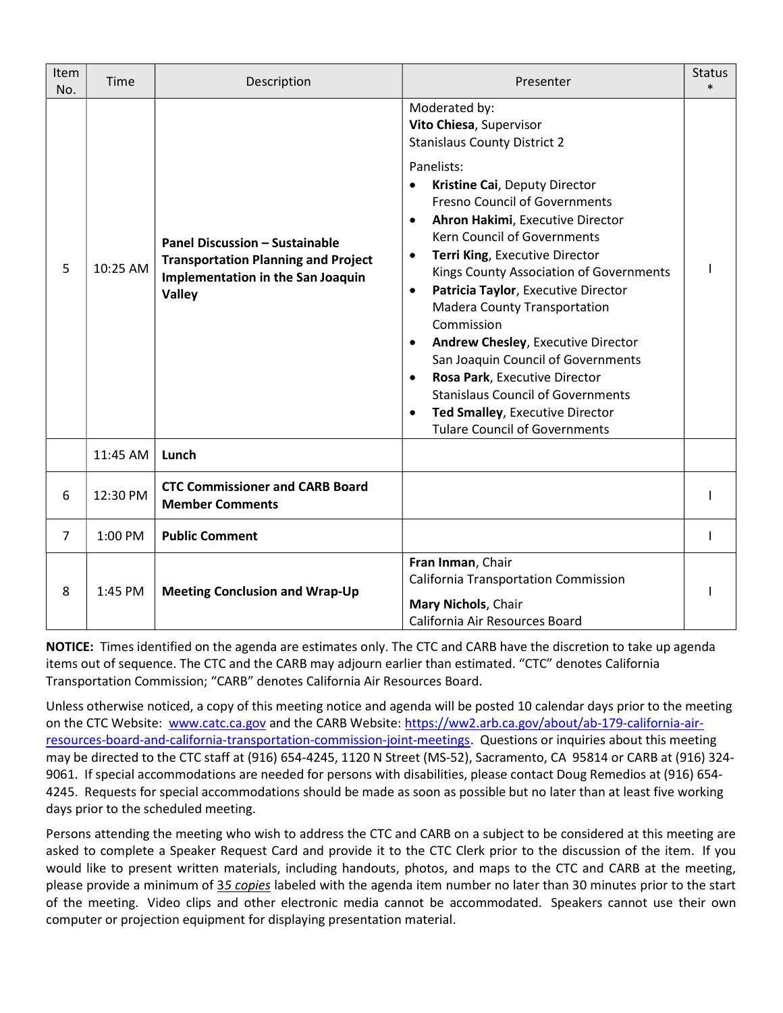| Item<br>No. | Time      | Description                                                                                                                        | Presenter                                                                                                                                                                                                                                                                                                                                                                                                                                                                                                                                                                                                                                                                                                               | <b>Status</b><br>$\ast$ |
|-------------|-----------|------------------------------------------------------------------------------------------------------------------------------------|-------------------------------------------------------------------------------------------------------------------------------------------------------------------------------------------------------------------------------------------------------------------------------------------------------------------------------------------------------------------------------------------------------------------------------------------------------------------------------------------------------------------------------------------------------------------------------------------------------------------------------------------------------------------------------------------------------------------------|-------------------------|
| 5           | 10:25 AM  | <b>Panel Discussion - Sustainable</b><br><b>Transportation Planning and Project</b><br>Implementation in the San Joaquin<br>Valley | Moderated by:<br>Vito Chiesa, Supervisor<br><b>Stanislaus County District 2</b><br>Panelists:<br>Kristine Cai, Deputy Director<br><b>Fresno Council of Governments</b><br>Ahron Hakimi, Executive Director<br>$\bullet$<br>Kern Council of Governments<br>Terri King, Executive Director<br>$\bullet$<br>Kings County Association of Governments<br>Patricia Taylor, Executive Director<br>$\bullet$<br><b>Madera County Transportation</b><br>Commission<br>Andrew Chesley, Executive Director<br>San Joaquin Council of Governments<br>Rosa Park, Executive Director<br>$\bullet$<br><b>Stanislaus Council of Governments</b><br>Ted Smalley, Executive Director<br>$\bullet$<br><b>Tulare Council of Governments</b> |                         |
|             | 11:45 AM  | Lunch                                                                                                                              |                                                                                                                                                                                                                                                                                                                                                                                                                                                                                                                                                                                                                                                                                                                         |                         |
| 6           | 12:30 PM  | <b>CTC Commissioner and CARB Board</b><br><b>Member Comments</b>                                                                   |                                                                                                                                                                                                                                                                                                                                                                                                                                                                                                                                                                                                                                                                                                                         |                         |
| 7           | $1:00$ PM | <b>Public Comment</b>                                                                                                              |                                                                                                                                                                                                                                                                                                                                                                                                                                                                                                                                                                                                                                                                                                                         |                         |
| 8           | 1:45 PM   | <b>Meeting Conclusion and Wrap-Up</b>                                                                                              | Fran Inman, Chair<br><b>California Transportation Commission</b><br>Mary Nichols, Chair<br>California Air Resources Board                                                                                                                                                                                                                                                                                                                                                                                                                                                                                                                                                                                               |                         |

NOTICE: Times identified on the agenda are estimates only. The CTC and CARB have the discretion to take up agenda items out of sequence. The CTC and the CARB may adjourn earlier than estimated. "CTC" denotes California Transportation Commission; "CARB" denotes California Air Resources Board.

 Unless otherwise noticed, a copy of this meeting notice and agenda will be posted 10 calendar days prior to the meeting on the CTC Website: <www.catc.ca.gov> and the CARB Website: <https://ww2.arb.ca.gov/about/ab-179-california-air>resources-board-and-california-transportation-commission-joint-meetings. Questions or inquiries about this meeting may be directed to the CTC staff at (916) 654-4245, 1120 N Street (MS-52), Sacramento, CA 95814 or CARB at (916) 324- 9061. If special accommodations are needed for persons with disabilities, please contact Doug Remedios at (916) 654- 4245. Requests for special accommodations should be made as soon as possible but no later than at least five working days prior to the scheduled meeting.

 Persons attending the meeting who wish to address the CTC and CARB on a subject to be considered at this meeting are asked to complete a Speaker Request Card and provide it to the CTC Clerk prior to the discussion of the item. If you would like to present written materials, including handouts, photos, and maps to the CTC and CARB at the meeting, please provide a minimum of 35 copies labeled with the agenda item number no later than 30 minutes prior to the start of the meeting. Video clips and other electronic media cannot be accommodated. Speakers cannot use their own computer or projection equipment for displaying presentation material.